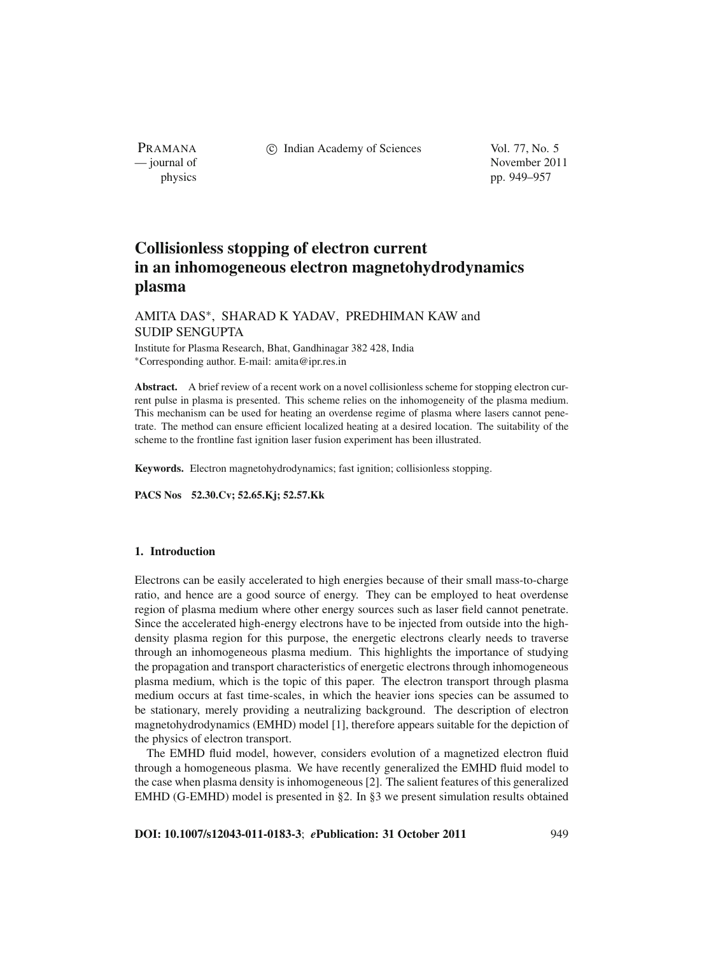PRAMANA

c Indian Academy of Sciences Vol. 77, No. 5

— journal of November 2011 physics pp. 949–957

# **Collisionless stopping of electron current in an inhomogeneous electron magnetohydrodynamics plasma**

AMITA DAS∗, SHARAD K YADAV, PREDHIMAN KAW and SUDIP SENGUPTA

Institute for Plasma Research, Bhat, Gandhinagar 382 428, India <sup>∗</sup>Corresponding author. E-mail: amita@ipr.res.in

**Abstract.** A brief review of a recent work on a novel collisionless scheme for stopping electron current pulse in plasma is presented. This scheme relies on the inhomogeneity of the plasma medium. This mechanism can be used for heating an overdense regime of plasma where lasers cannot penetrate. The method can ensure efficient localized heating at a desired location. The suitability of the scheme to the frontline fast ignition laser fusion experiment has been illustrated.

**Keywords.** Electron magnetohydrodynamics; fast ignition; collisionless stopping.

**PACS Nos 52.30.Cv; 52.65.Kj; 52.57.Kk**

## **1. Introduction**

Electrons can be easily accelerated to high energies because of their small mass-to-charge ratio, and hence are a good source of energy. They can be employed to heat overdense region of plasma medium where other energy sources such as laser field cannot penetrate. Since the accelerated high-energy electrons have to be injected from outside into the highdensity plasma region for this purpose, the energetic electrons clearly needs to traverse through an inhomogeneous plasma medium. This highlights the importance of studying the propagation and transport characteristics of energetic electrons through inhomogeneous plasma medium, which is the topic of this paper. The electron transport through plasma medium occurs at fast time-scales, in which the heavier ions species can be assumed to be stationary, merely providing a neutralizing background. The description of electron magnetohydrodynamics (EMHD) model [1], therefore appears suitable for the depiction of the physics of electron transport.

The EMHD fluid model, however, considers evolution of a magnetized electron fluid through a homogeneous plasma. We have recently generalized the EMHD fluid model to the case when plasma density is inhomogeneous [2]. The salient features of this generalized EMHD (G-EMHD) model is presented in §2. In §3 we present simulation results obtained

**DOI: 10.1007/s12043-011-0183-3**; *e***Publication: 31 October 2011** 949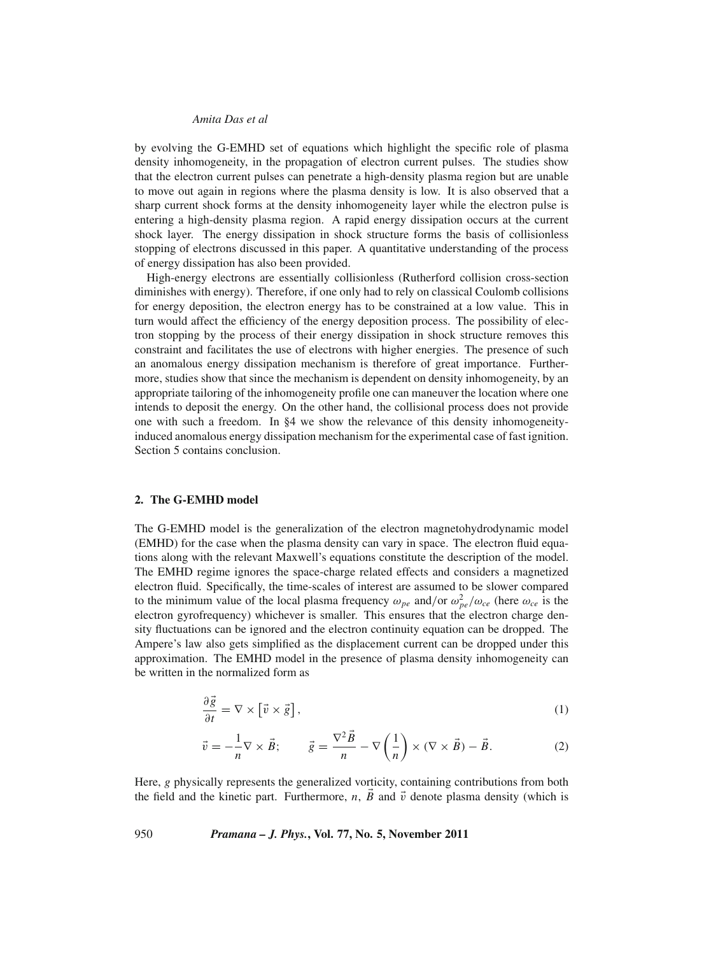by evolving the G-EMHD set of equations which highlight the specific role of plasma density inhomogeneity, in the propagation of electron current pulses. The studies show that the electron current pulses can penetrate a high-density plasma region but are unable to move out again in regions where the plasma density is low. It is also observed that a sharp current shock forms at the density inhomogeneity layer while the electron pulse is entering a high-density plasma region. A rapid energy dissipation occurs at the current shock layer. The energy dissipation in shock structure forms the basis of collisionless stopping of electrons discussed in this paper. A quantitative understanding of the process of energy dissipation has also been provided.

High-energy electrons are essentially collisionless (Rutherford collision cross-section diminishes with energy). Therefore, if one only had to rely on classical Coulomb collisions for energy deposition, the electron energy has to be constrained at a low value. This in turn would affect the efficiency of the energy deposition process. The possibility of electron stopping by the process of their energy dissipation in shock structure removes this constraint and facilitates the use of electrons with higher energies. The presence of such an anomalous energy dissipation mechanism is therefore of great importance. Furthermore, studies show that since the mechanism is dependent on density inhomogeneity, by an appropriate tailoring of the inhomogeneity profile one can maneuver the location where one intends to deposit the energy. On the other hand, the collisional process does not provide one with such a freedom. In §4 we show the relevance of this density inhomogeneityinduced anomalous energy dissipation mechanism for the experimental case of fast ignition. Section 5 contains conclusion.

## **2. The G-EMHD model**

The G-EMHD model is the generalization of the electron magnetohydrodynamic model (EMHD) for the case when the plasma density can vary in space. The electron fluid equations along with the relevant Maxwell's equations constitute the description of the model. The EMHD regime ignores the space-charge related effects and considers a magnetized electron fluid. Specifically, the time-scales of interest are assumed to be slower compared to the minimum value of the local plasma frequency  $\omega_{pe}$  and/or  $\omega_{pe}^2/\omega_{ce}$  (here  $\omega_{ce}$  is the electron gyrofrequency) whichever is smaller. This ensures that the electron charge density fluctuations can be ignored and the electron continuity equation can be dropped. The Ampere's law also gets simplified as the displacement current can be dropped under this approximation. The EMHD model in the presence of plasma density inhomogeneity can be written in the normalized form as

$$
\frac{\partial \vec{g}}{\partial t} = \nabla \times \left[ \vec{v} \times \vec{g} \right],\tag{1}
$$

$$
\vec{v} = -\frac{1}{n}\nabla \times \vec{B}; \qquad \vec{g} = \frac{\nabla^2 \vec{B}}{n} - \nabla \left(\frac{1}{n}\right) \times (\nabla \times \vec{B}) - \vec{B}.
$$
 (2)

Here, *g* physically represents the generalized vorticity, containing contributions from both the field and the kinetic part. Furthermore,  $n$ ,  $\vec{B}$  and  $\vec{v}$  denote plasma density (which is

950 *Pramana – J. Phys.***, Vol. 77, No. 5, November 2011**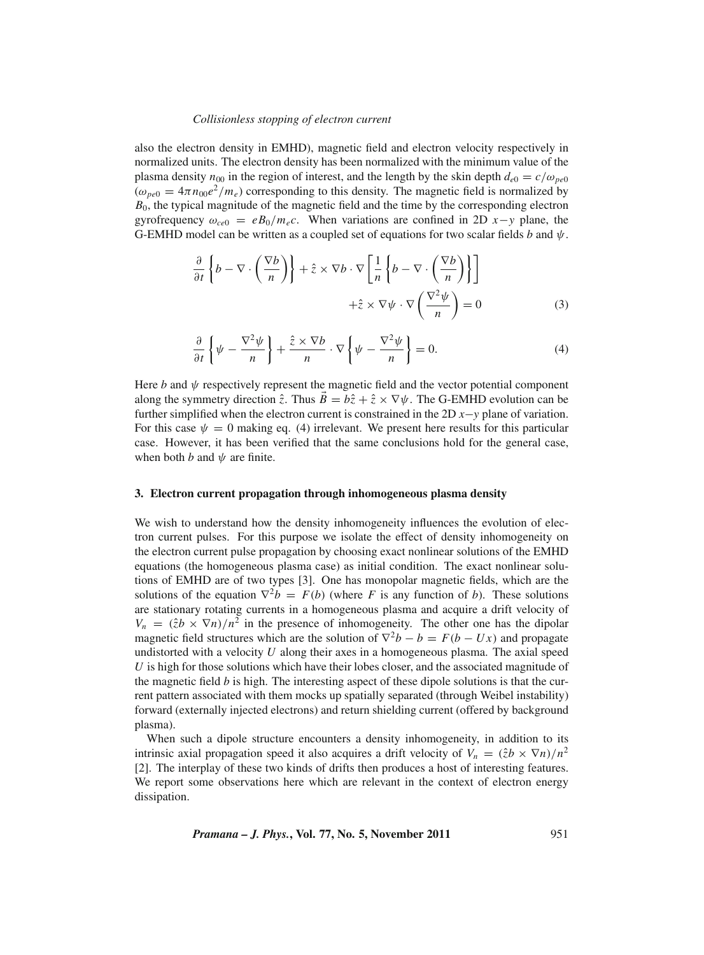#### *Collisionless stopping of electron current*

also the electron density in EMHD), magnetic field and electron velocity respectively in normalized units. The electron density has been normalized with the minimum value of the plasma density  $n_{00}$  in the region of interest, and the length by the skin depth  $d_{e0} = c/\omega_{pe0}$  $(\omega_{pe0} = 4\pi n_{00}e^2/m_e)$  corresponding to this density. The magnetic field is normalized by *B*0, the typical magnitude of the magnetic field and the time by the corresponding electron gyrofrequency  $\omega_{ce0} = eB_0/m_ec$ . When variations are confined in 2D *x*−*y* plane, the G-EMHD model can be written as a coupled set of equations for two scalar fields *b* and  $\psi$ .

$$
\frac{\partial}{\partial t} \left\{ b - \nabla \cdot \left( \frac{\nabla b}{n} \right) \right\} + \hat{z} \times \nabla b \cdot \nabla \left[ \frac{1}{n} \left\{ b - \nabla \cdot \left( \frac{\nabla b}{n} \right) \right\} \right] + \hat{z} \times \nabla \psi \cdot \nabla \left( \frac{\nabla^2 \psi}{n} \right) = 0 \tag{3}
$$

$$
\frac{\partial}{\partial t}\left\{\psi - \frac{\nabla^2 \psi}{n}\right\} + \frac{\hat{z} \times \nabla b}{n} \cdot \nabla \left\{\psi - \frac{\nabla^2 \psi}{n}\right\} = 0.
$$
\n(4)

Here *b* and  $\psi$  respectively represent the magnetic field and the vector potential component along the symmetry direction  $\hat{z}$ . Thus  $\vec{B} = b\hat{z} + \hat{z} \times \nabla \psi$ . The G-EMHD evolution can be further simplified when the electron current is constrained in the 2D *x*−*y* plane of variation. For this case  $\psi = 0$  making eq. (4) irrelevant. We present here results for this particular case. However, it has been verified that the same conclusions hold for the general case, when both *b* and  $\psi$  are finite.

## **3. Electron current propagation through inhomogeneous plasma density**

We wish to understand how the density inhomogeneity influences the evolution of electron current pulses. For this purpose we isolate the effect of density inhomogeneity on the electron current pulse propagation by choosing exact nonlinear solutions of the EMHD equations (the homogeneous plasma case) as initial condition. The exact nonlinear solutions of EMHD are of two types [3]. One has monopolar magnetic fields, which are the solutions of the equation  $\nabla^2 \overline{b} = F(b)$  (where *F* is any function of *b*). These solutions are stationary rotating currents in a homogeneous plasma and acquire a drift velocity of  $V_n = (\hat{z}b \times \nabla n)/n^2$  in the presence of inhomogeneity. The other one has the dipolar magnetic field structures which are the solution of  $\nabla^2 b - b = F(b - Ux)$  and propagate undistorted with a velocity *U* along their axes in a homogeneous plasma. The axial speed *U* is high for those solutions which have their lobes closer, and the associated magnitude of the magnetic field *b* is high. The interesting aspect of these dipole solutions is that the current pattern associated with them mocks up spatially separated (through Weibel instability) forward (externally injected electrons) and return shielding current (offered by background plasma).

When such a dipole structure encounters a density inhomogeneity, in addition to its intrinsic axial propagation speed it also acquires a drift velocity of  $V_n = (\hat{z}b \times \nabla n)/n^2$ [2]. The interplay of these two kinds of drifts then produces a host of interesting features. We report some observations here which are relevant in the context of electron energy dissipation.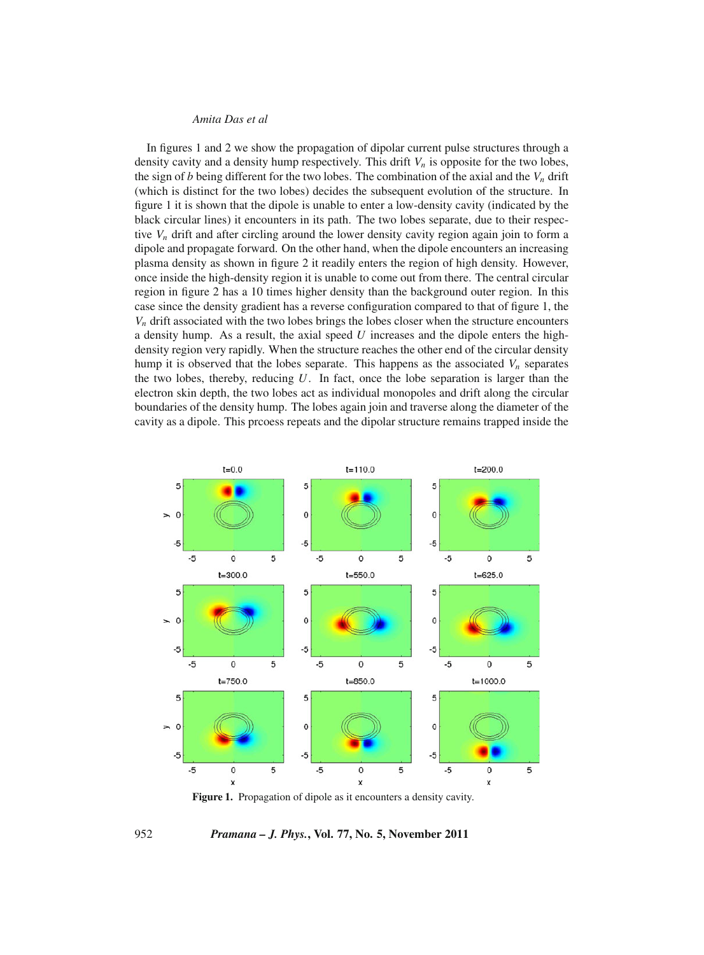In figures 1 and 2 we show the propagation of dipolar current pulse structures through a density cavity and a density hump respectively. This drift  $V_n$  is opposite for the two lobes, the sign of *b* being different for the two lobes. The combination of the axial and the  $V_n$  drift (which is distinct for the two lobes) decides the subsequent evolution of the structure. In figure 1 it is shown that the dipole is unable to enter a low-density cavity (indicated by the black circular lines) it encounters in its path. The two lobes separate, due to their respective  $V_n$  drift and after circling around the lower density cavity region again join to form a dipole and propagate forward. On the other hand, when the dipole encounters an increasing plasma density as shown in figure 2 it readily enters the region of high density. However, once inside the high-density region it is unable to come out from there. The central circular region in figure 2 has a 10 times higher density than the background outer region. In this case since the density gradient has a reverse configuration compared to that of figure 1, the  $V_n$  drift associated with the two lobes brings the lobes closer when the structure encounters a density hump. As a result, the axial speed *U* increases and the dipole enters the highdensity region very rapidly. When the structure reaches the other end of the circular density hump it is observed that the lobes separate. This happens as the associated  $V_n$  separates the two lobes, thereby, reducing *U*. In fact, once the lobe separation is larger than the electron skin depth, the two lobes act as individual monopoles and drift along the circular boundaries of the density hump. The lobes again join and traverse along the diameter of the cavity as a dipole. This prcoess repeats and the dipolar structure remains trapped inside the



Figure 1. Propagation of dipole as it encounters a density cavity.

952 *Pramana – J. Phys.***, Vol. 77, No. 5, November 2011**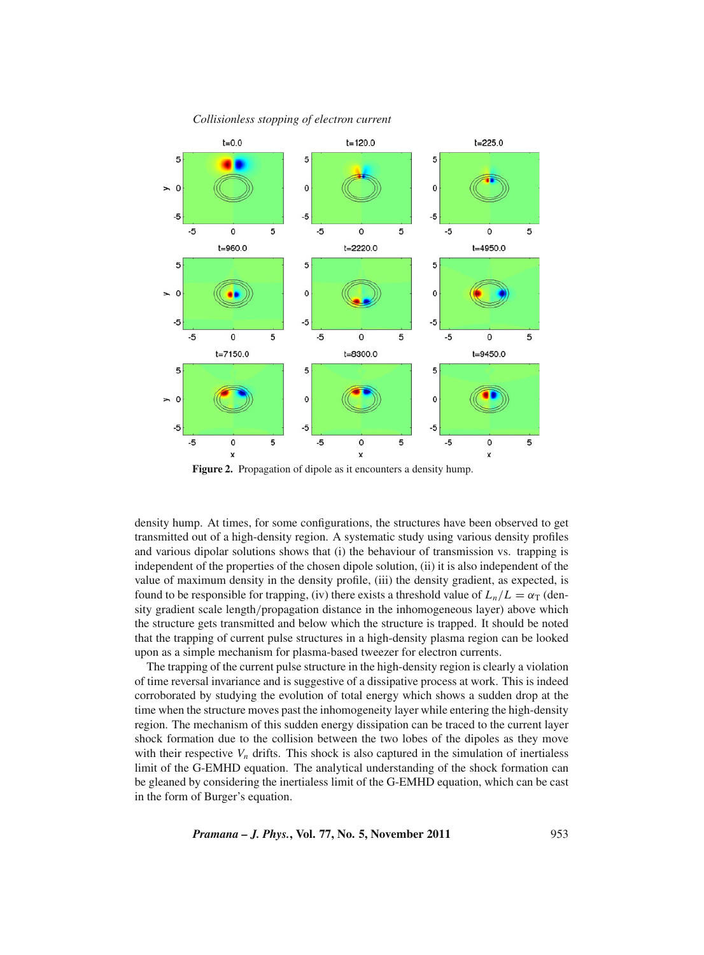

*Collisionless stopping of electron current*

**Figure 2.** Propagation of dipole as it encounters a density hump.

density hump. At times, for some configurations, the structures have been observed to get transmitted out of a high-density region. A systematic study using various density profiles and various dipolar solutions shows that (i) the behaviour of transmission vs. trapping is independent of the properties of the chosen dipole solution, (ii) it is also independent of the value of maximum density in the density profile, (iii) the density gradient, as expected, is found to be responsible for trapping, (iv) there exists a threshold value of  $L_n/L = \alpha_T$  (density gradient scale length/propagation distance in the inhomogeneous layer) above which the structure gets transmitted and below which the structure is trapped. It should be noted that the trapping of current pulse structures in a high-density plasma region can be looked upon as a simple mechanism for plasma-based tweezer for electron currents.

The trapping of the current pulse structure in the high-density region is clearly a violation of time reversal invariance and is suggestive of a dissipative process at work. This is indeed corroborated by studying the evolution of total energy which shows a sudden drop at the time when the structure moves past the inhomogeneity layer while entering the high-density region. The mechanism of this sudden energy dissipation can be traced to the current layer shock formation due to the collision between the two lobes of the dipoles as they move with their respective  $V_n$  drifts. This shock is also captured in the simulation of inertialess limit of the G-EMHD equation. The analytical understanding of the shock formation can be gleaned by considering the inertialess limit of the G-EMHD equation, which can be cast in the form of Burger's equation.

*Pramana – J. Phys.***, Vol. 77, No. 5, November 2011** 953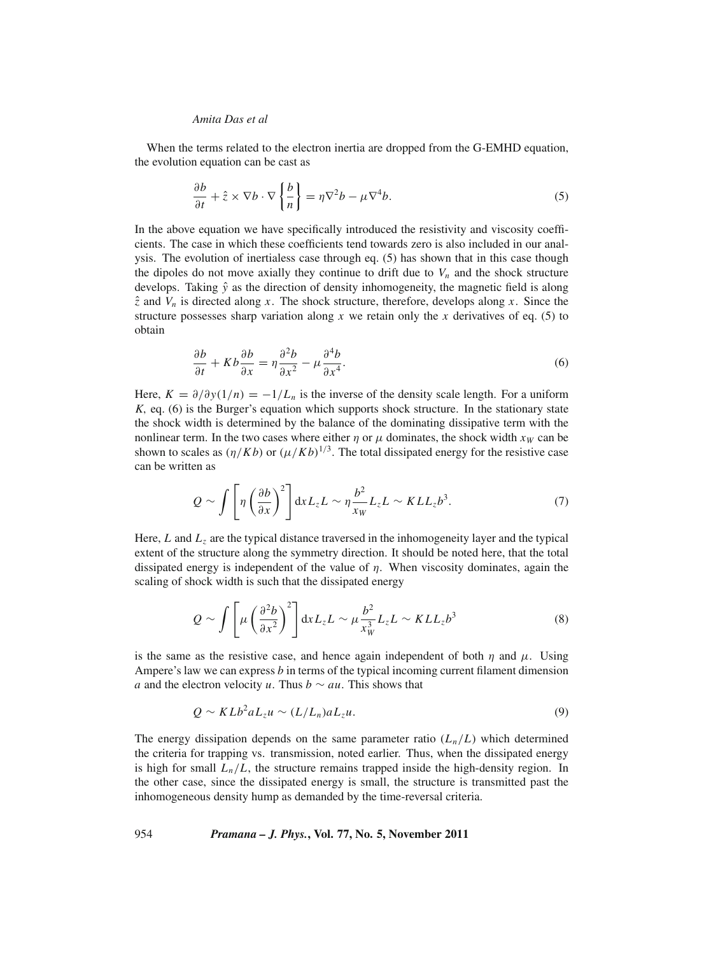When the terms related to the electron inertia are dropped from the G-EMHD equation, the evolution equation can be cast as

$$
\frac{\partial b}{\partial t} + \hat{z} \times \nabla b \cdot \nabla \left\{ \frac{b}{n} \right\} = \eta \nabla^2 b - \mu \nabla^4 b. \tag{5}
$$

In the above equation we have specifically introduced the resistivity and viscosity coefficients. The case in which these coefficients tend towards zero is also included in our analysis. The evolution of inertialess case through eq. (5) has shown that in this case though the dipoles do not move axially they continue to drift due to  $V_n$  and the shock structure develops. Taking  $\hat{y}$  as the direction of density inhomogeneity, the magnetic field is along  $\hat{z}$  and  $V_n$  is directed along x. The shock structure, therefore, develops along x. Since the structure possesses sharp variation along *x* we retain only the *x* derivatives of eq. (5) to obtain

$$
\frac{\partial b}{\partial t} + Kb \frac{\partial b}{\partial x} = \eta \frac{\partial^2 b}{\partial x^2} - \mu \frac{\partial^4 b}{\partial x^4}.
$$
 (6)

Here,  $K = \partial/\partial y(1/n) = -1/L_n$  is the inverse of the density scale length. For a uniform *K*, eq. (6) is the Burger's equation which supports shock structure. In the stationary state the shock width is determined by the balance of the dominating dissipative term with the nonlinear term. In the two cases where either  $\eta$  or  $\mu$  dominates, the shock width  $x_W$  can be shown to scales as  $(\eta/Kb)$  or  $(\mu/Kb)^{1/3}$ . The total dissipated energy for the resistive case can be written as

$$
Q \sim \int \left[ \eta \left( \frac{\partial b}{\partial x} \right)^2 \right] dx L_z L \sim \eta \frac{b^2}{x_W} L_z L \sim K L L_z b^3. \tag{7}
$$

Here,  $L$  and  $L<sub>z</sub>$  are the typical distance traversed in the inhomogeneity layer and the typical extent of the structure along the symmetry direction. It should be noted here, that the total dissipated energy is independent of the value of  $\eta$ . When viscosity dominates, again the scaling of shock width is such that the dissipated energy

$$
Q \sim \int \left[ \mu \left( \frac{\partial^2 b}{\partial x^2} \right)^2 \right] dx L_z L \sim \mu \frac{b^2}{x_W^3} L_z L \sim K L L_z b^3 \tag{8}
$$

is the same as the resistive case, and hence again independent of both  $\eta$  and  $\mu$ . Using Ampere's law we can express *b* in terms of the typical incoming current filament dimension *a* and the electron velocity *u*. Thus *b* ∼ *au*. This shows that

$$
Q \sim KLb^2 a L_z u \sim (L/L_n) a L_z u. \tag{9}
$$

The energy dissipation depends on the same parameter ratio  $(L_n/L)$  which determined the criteria for trapping vs. transmission, noted earlier. Thus, when the dissipated energy is high for small  $L_n/L$ , the structure remains trapped inside the high-density region. In the other case, since the dissipated energy is small, the structure is transmitted past the inhomogeneous density hump as demanded by the time-reversal criteria.

# 954 *Pramana – J. Phys.***, Vol. 77, No. 5, November 2011**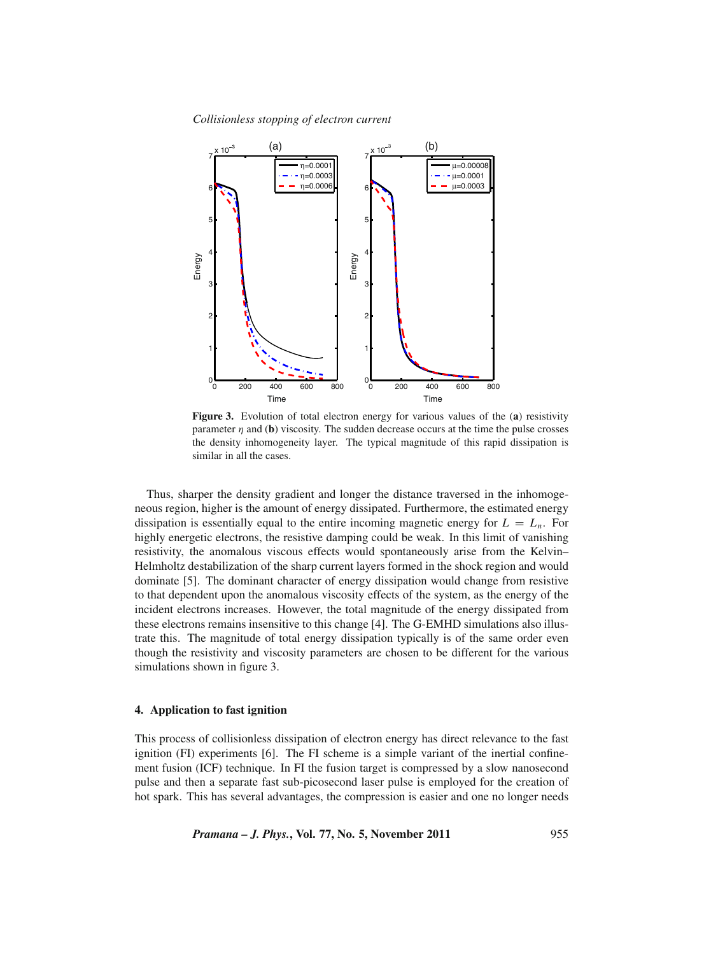*Collisionless stopping of electron current*



**Figure 3.** Evolution of total electron energy for various values of the (**a**) resistivity parameter  $\eta$  and (b) viscosity. The sudden decrease occurs at the time the pulse crosses the density inhomogeneity layer. The typical magnitude of this rapid dissipation is similar in all the cases.

Thus, sharper the density gradient and longer the distance traversed in the inhomogeneous region, higher is the amount of energy dissipated. Furthermore, the estimated energy dissipation is essentially equal to the entire incoming magnetic energy for  $L = L_n$ . For highly energetic electrons, the resistive damping could be weak. In this limit of vanishing resistivity, the anomalous viscous effects would spontaneously arise from the Kelvin– Helmholtz destabilization of the sharp current layers formed in the shock region and would dominate [5]. The dominant character of energy dissipation would change from resistive to that dependent upon the anomalous viscosity effects of the system, as the energy of the incident electrons increases. However, the total magnitude of the energy dissipated from these electrons remains insensitive to this change [4]. The G-EMHD simulations also illustrate this. The magnitude of total energy dissipation typically is of the same order even though the resistivity and viscosity parameters are chosen to be different for the various simulations shown in figure 3.

## **4. Application to fast ignition**

This process of collisionless dissipation of electron energy has direct relevance to the fast ignition (FI) experiments [6]. The FI scheme is a simple variant of the inertial confinement fusion (ICF) technique. In FI the fusion target is compressed by a slow nanosecond pulse and then a separate fast sub-picosecond laser pulse is employed for the creation of hot spark. This has several advantages, the compression is easier and one no longer needs

*Pramana – J. Phys.***, Vol. 77, No. 5, November 2011** 955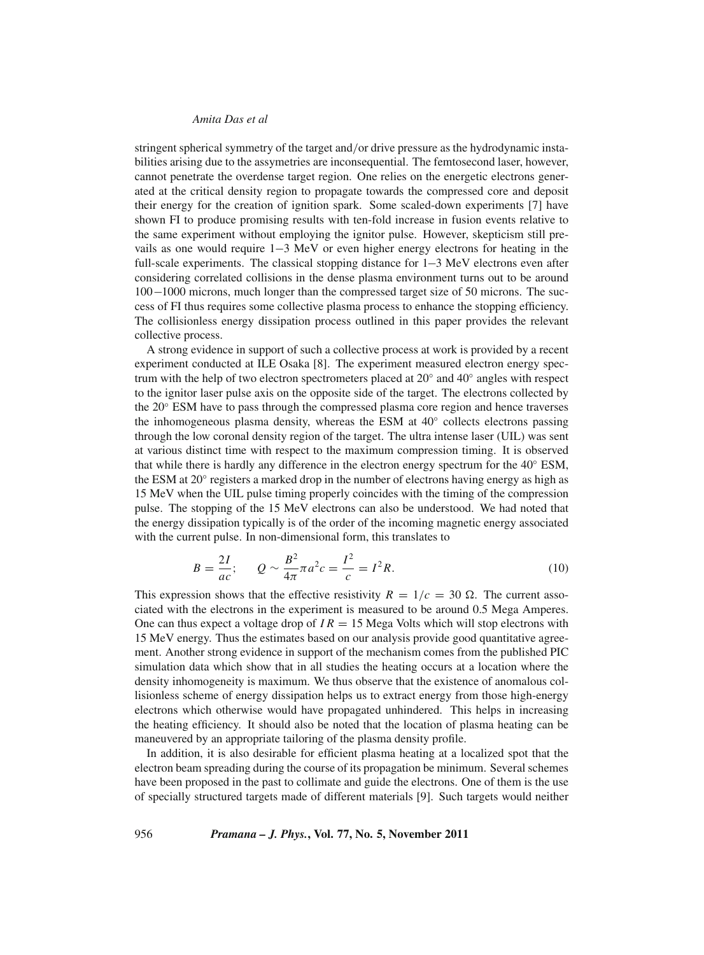stringent spherical symmetry of the target and/or drive pressure as the hydrodynamic instabilities arising due to the assymetries are inconsequential. The femtosecond laser, however, cannot penetrate the overdense target region. One relies on the energetic electrons generated at the critical density region to propagate towards the compressed core and deposit their energy for the creation of ignition spark. Some scaled-down experiments [7] have shown FI to produce promising results with ten-fold increase in fusion events relative to the same experiment without employing the ignitor pulse. However, skepticism still prevails as one would require 1−3 MeV or even higher energy electrons for heating in the full-scale experiments. The classical stopping distance for 1−3 MeV electrons even after considering correlated collisions in the dense plasma environment turns out to be around 100−1000 microns, much longer than the compressed target size of 50 microns. The success of FI thus requires some collective plasma process to enhance the stopping efficiency. The collisionless energy dissipation process outlined in this paper provides the relevant collective process.

A strong evidence in support of such a collective process at work is provided by a recent experiment conducted at ILE Osaka [8]. The experiment measured electron energy spectrum with the help of two electron spectrometers placed at 20◦ and 40◦ angles with respect to the ignitor laser pulse axis on the opposite side of the target. The electrons collected by the 20◦ ESM have to pass through the compressed plasma core region and hence traverses the inhomogeneous plasma density, whereas the ESM at  $40°$  collects electrons passing through the low coronal density region of the target. The ultra intense laser (UIL) was sent at various distinct time with respect to the maximum compression timing. It is observed that while there is hardly any difference in the electron energy spectrum for the 40◦ ESM, the ESM at 20◦ registers a marked drop in the number of electrons having energy as high as 15 MeV when the UIL pulse timing properly coincides with the timing of the compression pulse. The stopping of the 15 MeV electrons can also be understood. We had noted that the energy dissipation typically is of the order of the incoming magnetic energy associated with the current pulse. In non-dimensional form, this translates to

$$
B = \frac{2I}{ac}; \qquad Q \sim \frac{B^2}{4\pi} \pi a^2 c = \frac{I^2}{c} = I^2 R. \tag{10}
$$

This expression shows that the effective resistivity  $R = 1/c = 30 \Omega$ . The current associated with the electrons in the experiment is measured to be around 0.5 Mega Amperes. One can thus expect a voltage drop of  $IR = 15$  Mega Volts which will stop electrons with 15 MeV energy. Thus the estimates based on our analysis provide good quantitative agreement. Another strong evidence in support of the mechanism comes from the published PIC simulation data which show that in all studies the heating occurs at a location where the density inhomogeneity is maximum. We thus observe that the existence of anomalous collisionless scheme of energy dissipation helps us to extract energy from those high-energy electrons which otherwise would have propagated unhindered. This helps in increasing the heating efficiency. It should also be noted that the location of plasma heating can be maneuvered by an appropriate tailoring of the plasma density profile.

In addition, it is also desirable for efficient plasma heating at a localized spot that the electron beam spreading during the course of its propagation be minimum. Several schemes have been proposed in the past to collimate and guide the electrons. One of them is the use of specially structured targets made of different materials [9]. Such targets would neither

956 *Pramana – J. Phys.***, Vol. 77, No. 5, November 2011**